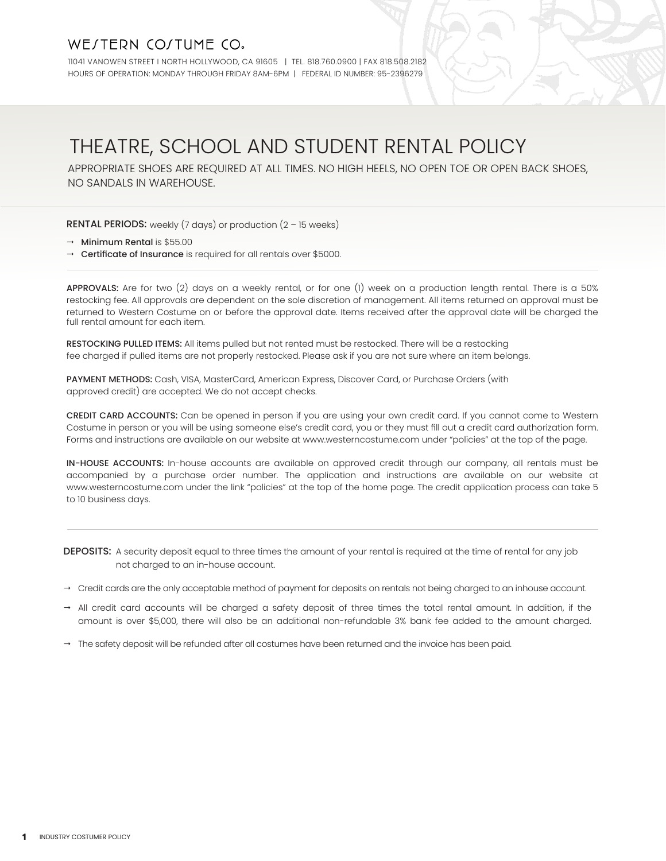## WE/TERN CO/TUME CO.

11041 VANOWEN STREET I NORTH HOLLYWOOD, CA 91605 | TEL. 818.760.0900 | FAX 818.508.2182 HOURS OF OPERATION: MONDAY THROUGH FRIDAY 8AM-6PM | FEDERAL ID NUMBER: 95-2396279

# THEATRE, SCHOOL AND STUDENT RENTAL POLICY

APPROPRIATE SHOES ARE REQUIRED AT ALL TIMES. NO HIGH HEELS, NO OPEN TOE OR OPEN BACK SHOES, NO SANDALS IN WAREHOUSE.

**RENTAL PERIODS:** weekly (7 days) or production  $(2 - 15$  weeks)

- $\rightarrow$  Minimum Rental is \$55.00
- $\rightarrow$  Certificate of Insurance is required for all rentals over \$5000.

APPROVALS: Are for two (2) days on a weekly rental, or for one (1) week on a production length rental. There is a 50% restocking fee. All approvals are dependent on the sole discretion of management. All items returned on approval must be returned to Western Costume on or before the approval date. Items received after the approval date will be charged the full rental amount for each item.

RESTOCKING PULLED ITEMS: All items pulled but not rented must be restocked. There will be a restocking fee charged if pulled items are not properly restocked. Please ask if you are not sure where an item belongs.

PAYMENT METHODS: Cash, VISA, MasterCard, American Express, Discover Card, or Purchase Orders (with approved credit) are accepted. We do not accept checks.

CREDIT CARD ACCOUNTS: Can be opened in person if you are using your own credit card. If you cannot come to Western Costume in person or you will be using someone else's credit card, you or they must fill out a credit card authorization form. Forms and instructions are available on our website at www.westerncostume.com under "policies" at the top of the page.

IN-HOUSE ACCOUNTS: In-house accounts are available on approved credit through our company, all rentals must be accompanied by a purchase order number. The application and instructions are available on our website at www.westerncostume.com under the link "policies" at the top of the home page. The credit application process can take 5 to 10 business days.

DEPOSITS: A security deposit equal to three times the amount of your rental is required at the time of rental for any job not charged to an in-house account.

- $\rightarrow$  Credit cards are the only acceptable method of payment for deposits on rentals not being charged to an inhouse account.
- $\rightarrow$  All credit card accounts will be charged a safety deposit of three times the total rental amount. In addition, if the amount is over \$5,000, there will also be an additional non-refundable 3% bank fee added to the amount charged.
- $\rightarrow$  The safety deposit will be refunded after all costumes have been returned and the invoice has been paid.